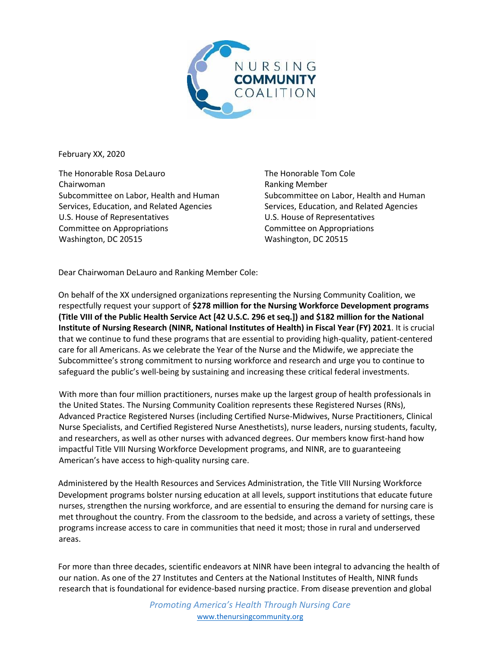

February XX, 2020

The Honorable Rosa DeLauro Chairwoman Subcommittee on Labor, Health and Human Services, Education, and Related Agencies U.S. House of Representatives Committee on Appropriations Washington, DC 20515

The Honorable Tom Cole Ranking Member Subcommittee on Labor, Health and Human Services, Education, and Related Agencies U.S. House of Representatives Committee on Appropriations Washington, DC 20515

Dear Chairwoman DeLauro and Ranking Member Cole:

On behalf of the XX undersigned organizations representing the Nursing Community Coalition, we respectfully request your support of **\$278 million for the Nursing Workforce Development programs (Title VIII of the Public Health Service Act [42 U.S.C. 296 et seq.]) and \$182 million for the National Institute of Nursing Research (NINR, National Institutes of Health) in Fiscal Year (FY) 2021**. It is crucial that we continue to fund these programs that are essential to providing high-quality, patient-centered care for all Americans. As we celebrate the Year of the Nurse and the Midwife, we appreciate the Subcommittee's strong commitment to nursing workforce and research and urge you to continue to safeguard the public's well-being by sustaining and increasing these critical federal investments.

With more than four million practitioners, nurses make up the largest group of health professionals in the United States. The Nursing Community Coalition represents these Registered Nurses (RNs), Advanced Practice Registered Nurses (including Certified Nurse-Midwives, Nurse Practitioners, Clinical Nurse Specialists, and Certified Registered Nurse Anesthetists), nurse leaders, nursing students, faculty, and researchers, as well as other nurses with advanced degrees. Our members know first-hand how impactful Title VIII Nursing Workforce Development programs, and NINR, are to guaranteeing American's have access to high-quality nursing care.

Administered by the Health Resources and Services Administration, the Title VIII Nursing Workforce Development programs bolster nursing education at all levels, support institutions that educate future nurses, strengthen the nursing workforce, and are essential to ensuring the demand for nursing care is met throughout the country. From the classroom to the bedside, and across a variety of settings, these programs increase access to care in communities that need it most; those in rural and underserved areas.

For more than three decades, scientific endeavors at NINR have been integral to advancing the health of our nation. As one of the 27 Institutes and Centers at the National Institutes of Health, NINR funds research that is foundational for evidence-based nursing practice. From disease prevention and global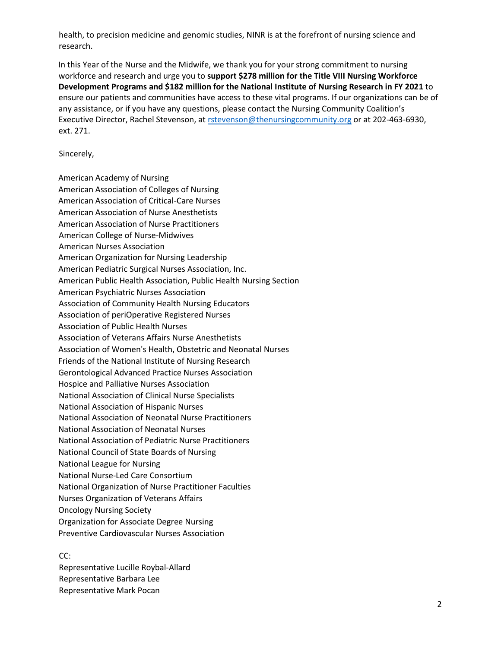health, to precision medicine and genomic studies, NINR is at the forefront of nursing science and research.

In this Year of the Nurse and the Midwife, we thank you for your strong commitment to nursing workforce and research and urge you to **support \$278 million for the Title VIII Nursing Workforce Development Programs and \$182 million for the National Institute of Nursing Research in FY 2021** to ensure our patients and communities have access to these vital programs. If our organizations can be of any assistance, or if you have any questions, please contact the Nursing Community Coalition's Executive Director, Rachel Stevenson, at rstevenson@thenursingcommunity.org or at 202-463-6930, ext. 271.

Sincerely,

American Academy of Nursing American Association of Colleges of Nursing American Association of Critical-Care Nurses American Association of Nurse Anesthetists American Association of Nurse Practitioners American College of Nurse-Midwives American Nurses Association American Organization for Nursing Leadership American Pediatric Surgical Nurses Association, Inc. American Public Health Association, Public Health Nursing Section American Psychiatric Nurses Association Association of Community Health Nursing Educators Association of periOperative Registered Nurses Association of Public Health Nurses Association of Veterans Affairs Nurse Anesthetists Association of Women's Health, Obstetric and Neonatal Nurses Friends of the National Institute of Nursing Research Gerontological Advanced Practice Nurses Association Hospice and Palliative Nurses Association National Association of Clinical Nurse Specialists National Association of Hispanic Nurses National Association of Neonatal Nurse Practitioners National Association of Neonatal Nurses National Association of Pediatric Nurse Practitioners National Council of State Boards of Nursing National League for Nursing National Nurse-Led Care Consortium National Organization of Nurse Practitioner Faculties Nurses Organization of Veterans Affairs Oncology Nursing Society Organization for Associate Degree Nursing Preventive Cardiovascular Nurses Association

CC: Representative Lucille Roybal-Allard Representative Barbara Lee Representative Mark Pocan